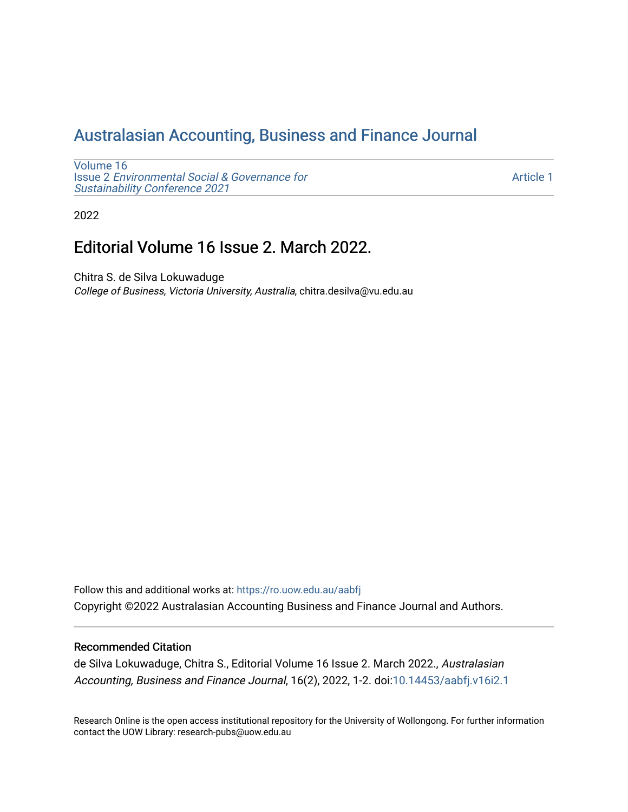# [Australasian Accounting, Business and Finance Journal](https://ro.uow.edu.au/aabfj)

[Volume 16](https://ro.uow.edu.au/aabfj/vol16) Issue 2 [Environmental Social & Governance for](https://ro.uow.edu.au/aabfj/vol16/iss2)  [Sustainability Conference 2021](https://ro.uow.edu.au/aabfj/vol16/iss2) 

[Article 1](https://ro.uow.edu.au/aabfj/vol16/iss2/1) 

2022

# Editorial Volume 16 Issue 2. March 2022.

Chitra S. de Silva Lokuwaduge College of Business, Victoria University, Australia, chitra.desilva@vu.edu.au

Follow this and additional works at: [https://ro.uow.edu.au/aabfj](https://ro.uow.edu.au/aabfj?utm_source=ro.uow.edu.au%2Faabfj%2Fvol16%2Fiss2%2F1&utm_medium=PDF&utm_campaign=PDFCoverPages) Copyright ©2022 Australasian Accounting Business and Finance Journal and Authors.

#### Recommended Citation

de Silva Lokuwaduge, Chitra S., Editorial Volume 16 Issue 2. March 2022., Australasian Accounting, Business and Finance Journal, 16(2), 2022, 1-2. doi:[10.14453/aabfj.v16i2.1](http://dx.doi.org/10.14453/aabfj.v16i2.1) 

Research Online is the open access institutional repository for the University of Wollongong. For further information contact the UOW Library: research-pubs@uow.edu.au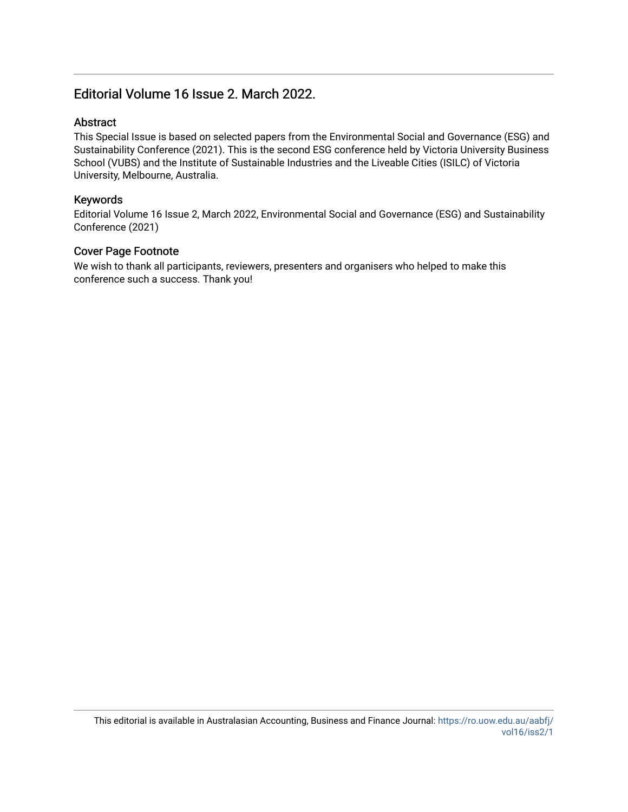## Editorial Volume 16 Issue 2. March 2022.

#### Abstract

This Special Issue is based on selected papers from the Environmental Social and Governance (ESG) and Sustainability Conference (2021). This is the second ESG conference held by Victoria University Business School (VUBS) and the Institute of Sustainable Industries and the Liveable Cities (ISILC) of Victoria University, Melbourne, Australia.

#### Keywords

Editorial Volume 16 Issue 2, March 2022, Environmental Social and Governance (ESG) and Sustainability Conference (2021)

#### Cover Page Footnote

We wish to thank all participants, reviewers, presenters and organisers who helped to make this conference such a success. Thank you!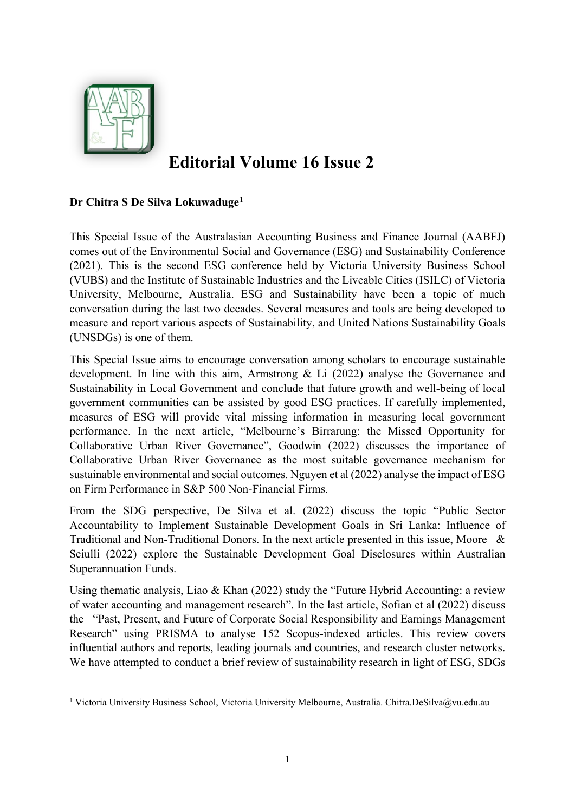

**.** 

# **Editorial Volume 16 Issue 2**

## **Dr Chitra S De Silva Lokuwaduge[1](#page-2-0)**

This Special Issue of the Australasian Accounting Business and Finance Journal (AABFJ) comes out of the Environmental Social and Governance (ESG) and Sustainability Conference (2021). This is the second ESG conference held by Victoria University Business School (VUBS) and the Institute of Sustainable Industries and the Liveable Cities (ISILC) of Victoria University, Melbourne, Australia. ESG and Sustainability have been a topic of much conversation during the last two decades. Several measures and tools are being developed to measure and report various aspects of Sustainability, and United Nations Sustainability Goals (UNSDGs) is one of them.

This Special Issue aims to encourage conversation among scholars to encourage sustainable development. In line with this aim, Armstrong & Li (2022) analyse the Governance and Sustainability in Local Government and conclude that future growth and well-being of local government communities can be assisted by good ESG practices. If carefully implemented, measures of ESG will provide vital missing information in measuring local government performance. In the next article, "Melbourne's Birrarung: the Missed Opportunity for Collaborative Urban River Governance", Goodwin (2022) discusses the importance of Collaborative Urban River Governance as the most suitable governance mechanism for sustainable environmental and social outcomes. Nguyen et al (2022) analyse the impact of ESG on Firm Performance in S&P 500 Non-Financial Firms.

From the SDG perspective, De Silva et al. (2022) discuss the topic "Public Sector Accountability to Implement Sustainable Development Goals in Sri Lanka: Influence of Traditional and Non-Traditional Donors. In the next article presented in this issue, Moore & Sciulli (2022) explore the Sustainable Development Goal Disclosures within Australian Superannuation Funds.

Using thematic analysis, Liao & Khan (2022) study the "Future Hybrid Accounting: a review of water accounting and management research". In the last article, Sofian et al (2022) discuss the "Past, Present, and Future of Corporate Social Responsibility and Earnings Management Research" using PRISMA to analyse 152 Scopus-indexed articles. This review covers influential authors and reports, leading journals and countries, and research cluster networks. We have attempted to conduct a brief review of sustainability research in light of ESG, SDGs

<span id="page-2-0"></span><sup>1</sup> Victoria University Business School, Victoria University Melbourne, Australia. Chitra.DeSilva@vu.edu.au